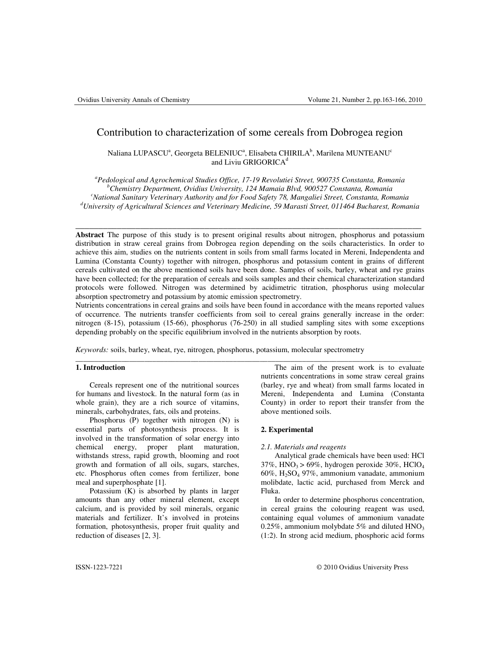# Contribution to characterization of some cereals from Dobrogea region

Naliana LUPASCUª, Georgeta BELENIUCª, Elisabeta CHIRILAʰ, Marilena MUNTEANU<sup>c</sup> and Liviu GRIGORICA<sup>d</sup>

*<sup>a</sup>Pedological and Agrochemical Studies Office, 17-19 Revolutiei Street, 900735 Constanta, Romania <sup>b</sup>Chemistry Department, Ovidius University, 124 Mamaia Blvd, 900527 Constanta, Romania <sup>c</sup>National Sanitary Veterinary Authority and for Food Safety 78, Mangaliei Street, Constanta, Romania <sup>d</sup>University of Agricultural Sciences and Veterinary Medicine, 59 Marasti Street, 011464 Bucharest, Romania* 

\_\_\_\_\_\_\_\_\_\_\_\_\_\_\_\_\_\_\_\_\_\_\_\_\_\_\_\_\_\_\_\_\_\_\_\_\_\_\_\_\_\_\_\_\_\_\_\_\_\_\_\_\_\_\_\_\_\_\_\_\_\_\_\_\_\_\_\_\_\_\_\_\_\_\_

**Abstract** The purpose of this study is to present original results about nitrogen, phosphorus and potassium distribution in straw cereal grains from Dobrogea region depending on the soils characteristics. In order to achieve this aim, studies on the nutrients content in soils from small farms located in Mereni, Independenta and Lumina (Constanta County) together with nitrogen, phosphorus and potassium content in grains of different cereals cultivated on the above mentioned soils have been done. Samples of soils, barley, wheat and rye grains have been collected; for the preparation of cereals and soils samples and their chemical characterization standard protocols were followed. Nitrogen was determined by acidimetric titration, phosphorus using molecular absorption spectrometry and potassium by atomic emission spectrometry.

Nutrients concentrations in cereal grains and soils have been found in accordance with the means reported values of occurrence. The nutrients transfer coefficients from soil to cereal grains generally increase in the order: nitrogen (8-15), potassium (15-66), phosphorus (76-250) in all studied sampling sites with some exceptions depending probably on the specific equilibrium involved in the nutrients absorption by roots.

\_\_\_\_\_\_\_\_\_\_\_\_\_\_\_\_\_\_\_\_\_\_\_\_\_\_\_\_\_\_\_\_\_\_\_\_\_\_\_\_\_\_\_\_\_\_\_\_\_\_\_\_\_\_\_\_\_\_\_\_\_\_\_\_\_\_\_\_\_\_\_\_\_\_\_\_\_\_\_\_\_\_\_\_\_\_\_\_\_\_

*Keywords:* soils, barley, wheat, rye, nitrogen, phosphorus, potassium, molecular spectrometry

## **1. Introduction**

Cereals represent one of the nutritional sources for humans and livestock. In the natural form (as in whole grain), they are a rich source of vitamins, minerals, carbohydrates, fats, oils and proteins.

Phosphorus (P) together with nitrogen (N) is essential parts of photosynthesis process. It is involved in the transformation of solar energy into chemical energy, proper plant maturation, withstands stress, rapid growth, blooming and root growth and formation of all oils, sugars, starches, etc. Phosphorus often comes from fertilizer, bone meal and superphosphate [1].

Potassium  $(K)$  is absorbed by plants in larger amounts than any other mineral element, except calcium, and is provided by soil minerals, organic materials and fertilizer. It's involved in proteins formation, photosynthesis, proper fruit quality and reduction of diseases [2, 3].

The aim of the present work is to evaluate nutrients concentrations in some straw cereal grains (barley, rye and wheat) from small farms located in Mereni, Independenta and Lumina (Constanta County) in order to report their transfer from the above mentioned soils.

## **2. Experimental**

#### *2.1. Materials and reagents*

Analytical grade chemicals have been used: HCl  $37\%$ , HNO<sub>3</sub> > 69%, hydrogen peroxide  $30\%$ , HClO<sub>4</sub> 60%, H2SO4 97%, ammonium vanadate, ammonium molibdate, lactic acid, purchased from Merck and Fluka.

In order to determine phosphorus concentration, in cereal grains the colouring reagent was used, containing equal volumes of ammonium vanadate 0.25%, ammonium molybdate 5% and diluted  $HNO<sub>3</sub>$ (1:2). In strong acid medium, phosphoric acid forms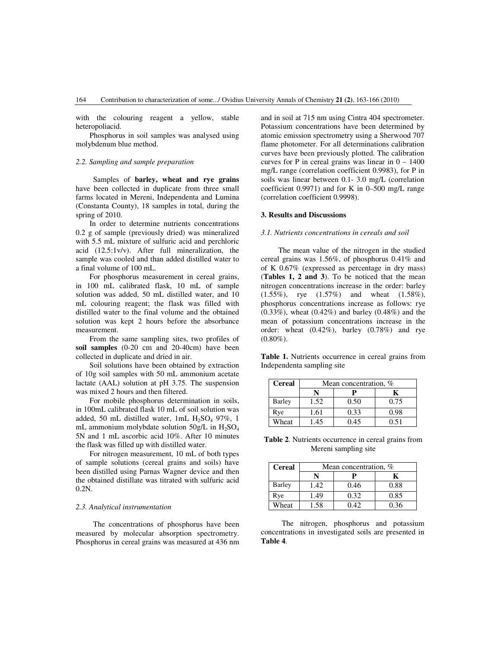with the colouring reagent a yellow, stable heteropoliacid.

Phosphorus in soil samples was analysed using molybdenum blue method.

# *2.2. Sampling and sample preparation*

Samples of **barley, wheat and rye grains** have been collected in duplicate from three small farms located in Mereni, Independenta and Lumina (Constanta County), 18 samples in total, during the spring of 2010.

In order to determine nutrients concentrations 0.2 g of sample (previously dried) was mineralized with 5.5 mL mixture of sulfuric acid and perchloric acid (12.5:1v/v). After full mineralization, the sample was cooled and than added distilled water to a final volume of 100 mL.

For phosphorus measurement in cereal grains, in 100 mL calibrated flask, 10 mL of sample solution was added, 50 mL distilled water, and 10 mL colouring reagent; the flask was filled with distilled water to the final volume and the obtained solution was kept 2 hours before the absorbance measurement.

From the same sampling sites, two profiles of **soil samples** (0-20 cm and 20-40cm) have been collected in duplicate and dried in air.

Soil solutions have been obtained by extraction of 10g soil samples with 50 mL ammonium acetate lactate (AAL) solution at pH 3.75. The suspension was mixed 2 hours and then filtered.

For mobile phosphorus determination in soils, in 100mL calibrated flask 10 mL of soil solution was added, 50 mL distilled water, 1mL  $H_2SO_4$  97%, 1 mL ammonium molybdate solution  $50g/L$  in  $H_2SO_4$ 5N and 1 mL ascorbic acid 10%. After 10 minutes the flask was filled up with distilled water.

For nitrogen measurement, 10 mL of both types of sample solutions (cereal grains and soils) have been distilled using Parnas Wagner device and then the obtained distillate was titrated with sulfuric acid 0.2N.

# *2.3. Analytical instrumentation*

The concentrations of phosphorus have been measured by molecular absorption spectrometry. Phosphorus in cereal grains was measured at 436 nm and in soil at 715 nm using Cintra 404 spectrometer. Potassium concentrations have been determined by atomic emission spectrometry using a Sherwood 707 flame photometer. For all determinations calibration curves have been previously plotted. The calibration curves for P in cereal grains was linear in  $0 - 1400$ mg/L range (correlation coefficient 0.9983), for P in soils was linear between 0.1- 3.0 mg/L (correlation coefficient  $0.9971$ ) and for K in  $0-500$  mg/L range (correlation coefficient 0.9998).

## **3. Results and Discussions**

#### *3.1. Nutrients concentrations in cereals and soil*

The mean value of the nitrogen in the studied cereal grains was 1.56%, of phosphorus 0.41% and of K 0.67% (expressed as percentage in dry mass) (**Tables 1, 2 and 3**). To be noticed that the mean nitrogen concentrations increase in the order: barley (1.55%), rye (1.57%) and wheat (1.58%), phosphorus concentrations increase as follows: rye  $(0.33\%)$ , wheat  $(0.42\%)$  and barley  $(0.48\%)$  and the mean of potassium concentrations increase in the order: wheat (0.42%), barley (0.78%) and rye  $(0.80\%).$ 

**Table 1.** Nutrients occurrence in cereal grains from Independenta sampling site

| <b>Cereal</b> | Mean concentration, % |      |      |
|---------------|-----------------------|------|------|
|               |                       |      |      |
| Barley        | 1.52                  | 0.50 | 0.75 |
| Rye           | 1.61                  | 0.33 | 0.98 |
| Wheat         | 1.45                  | 0.45 | 0 51 |

**Table 2**. Nutrients occurrence in cereal grains from Mereni sampling site

| <b>Cereal</b> | Mean concentration, % |      |      |
|---------------|-----------------------|------|------|
|               |                       |      |      |
| Barley        | 1.42                  | 0.46 | 0.88 |
| Rye           | 1.49                  | 0.32 | 0.85 |
| Wheat         | 1.58                  | 0.42 | 0.36 |

The nitrogen, phosphorus and potassium concentrations in investigated soils are presented in **Table 4**.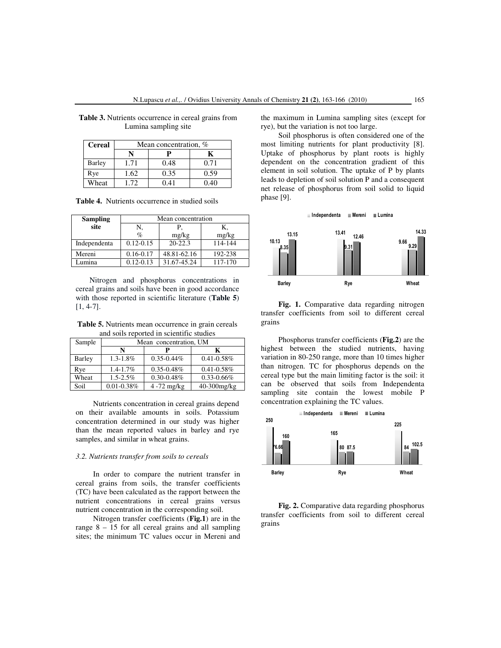| <b>Cereal</b> | Mean concentration, % |      |      |
|---------------|-----------------------|------|------|
|               |                       |      |      |
| <b>Barley</b> | 1.71                  | 0.48 | 0.71 |
| Rye           | 1.62                  | 0.35 | 0.59 |
| Wheat         | 172                   | 0.41 | 0.40 |

**Table 3.** Nutrients occurrence in cereal grains from Lumina sampling site

| <b>Table 4.</b> Nutrients occurrence in studied soils |  |
|-------------------------------------------------------|--|
|-------------------------------------------------------|--|

| <b>Sampling</b> | Mean concentration |             |         |
|-----------------|--------------------|-------------|---------|
| site            | N.                 | Р.          | К.      |
|                 | $\%$               | mg/kg       | mg/kg   |
| Independenta    | $0.12 - 0.15$      | $20 - 22.3$ | 114-144 |
| Mereni          | $0.16 - 0.17$      | 48.81-62.16 | 192-238 |
| aimina          | $0.12 - 0.13$      | 31.67-45.24 | 117-170 |

Nitrogen and phosphorus concentrations in cereal grains and soils have been in good accordance with those reported in scientific literature (**Table 5**) [1, 4-7].

**Table 5.** Nutrients mean occurrence in grain cereals and soils reported in scientific studies

| Sample        | Mean concentration, UM |                 |                 |
|---------------|------------------------|-----------------|-----------------|
|               | N                      |                 | K               |
| <b>Barley</b> | $1.3 - 1.8\%$          | $0.35 - 0.44\%$ | $0.41 - 0.58\%$ |
| Rye           | 1.4-1.7%               | $0.35 - 0.48\%$ | $0.41 - 0.58\%$ |
| Wheat         | $1.5 - 2.5\%$          | $0.30 - 0.48\%$ | $0.33 - 0.66\%$ |
| Soil          | $0.01 - 0.38\%$        | $4 - 72$ mg/kg  | 40-300mg/kg     |

Nutrients concentration in cereal grains depend on their available amounts in soils. Potassium concentration determined in our study was higher than the mean reported values in barley and rye samples, and similar in wheat grains.

#### *3.2. Nutrients transfer from soils to cereals*

In order to compare the nutrient transfer in cereal grains from soils, the transfer coefficients (TC) have been calculated as the rapport between the nutrient concentrations in cereal grains versus nutrient concentration in the corresponding soil.

Nitrogen transfer coefficients (**Fig.1**) are in the range  $8 - 15$  for all cereal grains and all sampling sites; the minimum TC values occur in Mereni and

the maximum in Lumina sampling sites (except for rye), but the variation is not too large.

Soil phosphorus is often considered one of the most limiting nutrients for plant productivity [8]. Uptake of phosphorus by plant roots is highly dependent on the concentration gradient of this element in soil solution. The uptake of P by plants leads to depletion of soil solution P and a consequent net release of phosphorus from soil solid to liquid phase [9].



**Fig. 1.** Comparative data regarding nitrogen transfer coefficients from soil to different cereal grains

Phosphorus transfer coefficients (**Fig.2**) are the highest between the studied nutrients, having variation in 80-250 range, more than 10 times higher than nitrogen. TC for phosphorus depends on the cereal type but the main limiting factor is the soil: it can be observed that soils from Independenta sampling site contain the lowest mobile P concentration explaining the TC values.



**Fig. 2.** Comparative data regarding phosphorus transfer coefficients from soil to different cereal grains